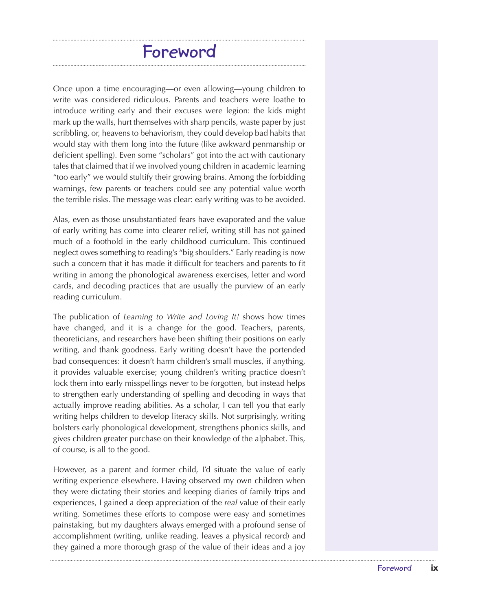## **Foreword**

Once upon a time encouraging—or even allowing—young children to write was considered ridiculous. Parents and teachers were loathe to introduce writing early and their excuses were legion: the kids might mark up the walls, hurt themselves with sharp pencils, waste paper by just scribbling, or, heavens to behaviorism, they could develop bad habits that would stay with them long into the future (like awkward penmanship or deficient spelling). Even some "scholars" got into the act with cautionary tales that claimed that if we involved young children in academic learning "too early" we would stultify their growing brains. Among the forbidding warnings, few parents or teachers could see any potential value worth the terrible risks. The message was clear: early writing was to be avoided.

Alas, even as those unsubstantiated fears have evaporated and the value of early writing has come into clearer relief, writing still has not gained much of a foothold in the early childhood curriculum. This continued neglect owes something to reading's "big shoulders." Early reading is now such a concern that it has made it difficult for teachers and parents to fit writing in among the phonological awareness exercises, letter and word cards, and decoding practices that are usually the purview of an early reading curriculum.

The publication of *Learning to Write and Loving It!* shows how times have changed, and it is a change for the good. Teachers, parents, theoreticians, and researchers have been shifting their positions on early writing, and thank goodness. Early writing doesn't have the portended bad consequences: it doesn't harm children's small muscles, if anything, it provides valuable exercise; young children's writing practice doesn't lock them into early misspellings never to be forgotten, but instead helps to strengthen early understanding of spelling and decoding in ways that actually improve reading abilities. As a scholar, I can tell you that early writing helps children to develop literacy skills. Not surprisingly, writing bolsters early phonological development, strengthens phonics skills, and gives children greater purchase on their knowledge of the alphabet. This, of course, is all to the good.

However, as a parent and former child, I'd situate the value of early writing experience elsewhere. Having observed my own children when they were dictating their stories and keeping diaries of family trips and experiences, I gained a deep appreciation of the *real* value of their early writing. Sometimes these efforts to compose were easy and sometimes painstaking, but my daughters always emerged with a profound sense of accomplishment (writing, unlike reading, leaves a physical record) and they gained a more thorough grasp of the value of their ideas and a joy